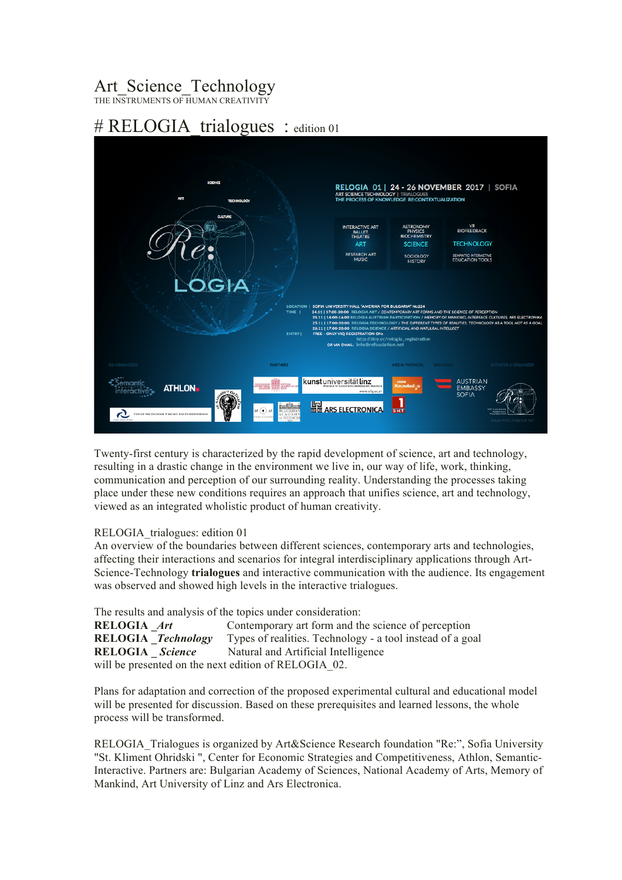## Art\_Science\_Technology

THE INSTRUMENTS OF HUMAN CREATIVITY

## # RELOGIA trialogues : edition 01



Twenty-first century is characterized by the rapid development of science, art and technology, resulting in a drastic change in the environment we live in, our way of life, work, thinking, communication and perception of our surrounding reality. Understanding the processes taking place under these new conditions requires an approach that unifies science, art and technology, viewed as an integrated wholistic product of human creativity.

## RELOGIA\_trialogues: edition 01

An overview of the boundaries between different sciences, contemporary arts and technologies, affecting their interactions and scenarios for integral interdisciplinary applications through Art-Science-Technology **trialogues** and interactive communication with the audience. Its engagement was observed and showed high levels in the interactive trialogues.

The results and analysis of the topics under consideration: **RELOGIA** Art Contemporary art form and the science of perception **RELOGIA \_***Technology* Types of realities. Technology - a tool instead of a goal **RELOGIA** Science Natural and Artificial Intelligence will be presented on the next edition of RELOGIA 02.

Plans for adaptation and correction of the proposed experimental cultural and educational model will be presented for discussion. Based on these prerequisites and learned lessons, the whole process will be transformed.

RELOGIA\_Trialogues is organized by Art&Science Research foundation "Re:", Sofia University "St. Kliment Ohridski ", Center for Economic Strategies and Competitiveness, Athlon, Semantic-Interactive. Partners are: Bulgarian Academy of Sciences, National Academy of Arts, Memory of Mankind, Art University of Linz and Ars Electronica.